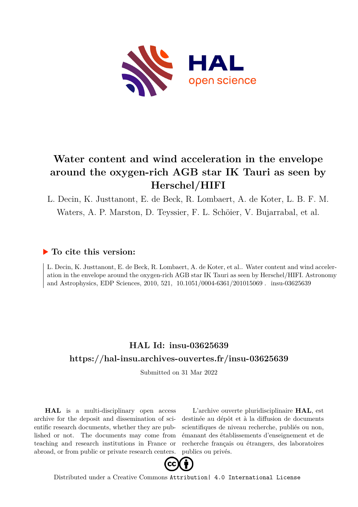

# **Water content and wind acceleration in the envelope around the oxygen-rich AGB star IK Tauri as seen by Herschel/HIFI**

L. Decin, K. Justtanont, E. de Beck, R. Lombaert, A. de Koter, L. B. F. M. Waters, A. P. Marston, D. Teyssier, F. L. Schöier, V. Bujarrabal, et al.

### **To cite this version:**

L. Decin, K. Justtanont, E. de Beck, R. Lombaert, A. de Koter, et al.. Water content and wind acceleration in the envelope around the oxygen-rich AGB star IK Tauri as seen by Herschel/HIFI. Astronomy and Astrophysics, EDP Sciences, 2010, 521, 10.1051/0004-6361/201015069. insu-03625639

## **HAL Id: insu-03625639 <https://hal-insu.archives-ouvertes.fr/insu-03625639>**

Submitted on 31 Mar 2022

**HAL** is a multi-disciplinary open access archive for the deposit and dissemination of scientific research documents, whether they are published or not. The documents may come from teaching and research institutions in France or abroad, or from public or private research centers.

L'archive ouverte pluridisciplinaire **HAL**, est destinée au dépôt et à la diffusion de documents scientifiques de niveau recherche, publiés ou non, émanant des établissements d'enseignement et de recherche français ou étrangers, des laboratoires publics ou privés.



Distributed under a Creative Commons [Attribution| 4.0 International License](http://creativecommons.org/licenses/by/4.0/)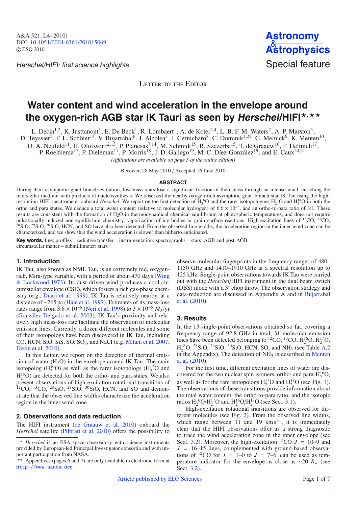Herschel/HIFI: first science highlights Special feature



LETTER TO THE EDITOR

## **Water content and wind acceleration in the envelope around** the oxygen-rich AGB star IK Tauri as seen by Herschel/HIFI\*<sup>,\*\*</sup>

L. Decin<sup>1,2</sup>, K. Justtanont<sup>3</sup>, E. De Beck<sup>1</sup>, R. Lombaert<sup>1</sup>, A. de Koter<sup>2,4</sup>, L. B. F. M. Waters<sup>2</sup>, A. P. Marston<sup>5</sup>,

D. Teyssier<sup>5</sup>, F. L. Schöier<sup>13</sup>, V. Bujarrabal<sup>6</sup>, J. Alcolea<sup>7</sup>, J. Cernicharo<sup>8</sup>, C. Dominik<sup>2,22</sup>, G. Melnick<sup>9</sup>, K. Menten<sup>10</sup>,

D. A. Neufeld<sup>11</sup>, H. Olofsson<sup>12,13</sup>, P. Planesas<sup>7,14</sup>, M. Schmidt<sup>15</sup>, R. Szczerba<sup>15</sup>, T. de Graauw<sup>16</sup>, F. Helmich<sup>17</sup>,

P. Roelfsema<sup>17</sup>, P. Dieleman<sup>17</sup>, P. Morris<sup>18</sup>, J. D. Gallego<sup>19</sup>, M. C. Díez-González<sup>19</sup>, and E. Caux<sup>20,21</sup>

*(A*ffi*liations are available on page 5 of the online edition)*

Received 28 May 2010 / Accepted 16 June 2010

#### **ABSTRACT**

During their asymptotic giant branch evolution, low-mass stars lose a significant fraction of their mass through an intense wind, enriching the interstellar medium with products of nucleosynthesis. We observed the nearby oxygen-rich asymptotic giant branch star IK Tau using the highresolution HIFI spectrometer onboard *Herschel*. We report on the first detection of  $H_2^{16}O$  and the rarer isotopologues  $H_2^{17}O$  and  $H_2^{18}O$  in both the ortho and para states. We deduce a total water content (relative to molecular hydrogen) of 6.6 × 10−5, and an ortho-to-para ratio of 3:1. These results are consistent with the formation of  $H_2O$  in thermodynamical chemical equilibrium at photospheric temperatures, and does not require pulsationally induced non-equilibrium chemistry, vaporization of icy bodies or grain surface reactions. High-excitation lines of <sup>12</sup>CO, <sup>13</sup>CO,  $^{28}$ SiO,  $^{29}$ SiO,  $^{30}$ SiO, HCN, and SO have also been detected. From the observed line widths, the acceleration region in the inner wind zone can be characterized, and we show that the wind acceleration is slower than hitherto anticipated.

**Key words.** line: profiles – radiative transfer – instrumentation: spectrographs – stars: AGB and post-AGB – circumstellar matter – submillimeter: stars

#### **1. Introduction**

IK Tau, also known as NML Tau, is an extremely red, oxygenrich, Mira-type variable, with a period of about 470 days (Wing & Lockwood 1973). Its dust-driven wind produces a cool circumstellar envelope (CSE), which fosters a rich gas-phase chemistry (e.g., Duari et al. 1999). IK Tau is relatively nearby, at a distance of ∼265 pc (Hale et al. 1997). Estimates of its mass-loss rates range from  $3.8 \times 10^{-6}$  (Neri et al. 1998) to  $3 \times 10^{-5}$  *M*<sub>o</sub>/yr (González Delgado et al. 2003). IK Tau's proximity and relatively high mass-loss rate facilitate the observation of molecular emission lines. Currently, a dozen different molecules and some of their isotopologs have been discovered in IK Tau, including CO, HCN, SiO, SiS, SO, SO<sub>2</sub>, and NaCl (e.g. Milam et al. 2007; Decin et al. 2010).

In this Letter, we report on the detection of thermal emission of water  $(H<sub>2</sub>O)$  in the envelope around IK Tau. The main isotopolog ( $H_2^{16}O$ ) as well as the rarer isotopologs ( $H_2^{17}O$  and  $H_2^{18}$ O) are detected for both the ortho- and para-states. We also present observations of high-excitation rotational transitions of  ${}^{12}CO$ ,  ${}^{13}CO$ ,  ${}^{28}SiO$ ,  ${}^{29}SiO$ ,  ${}^{30}SiO$ , HCN, and SO and demonstrate that the observed line widths characterize the acceleration region in the inner wind zone.

#### **2. Observations and data reduction**

The HIFI instrument (de Graauw et al. 2010) onboard the *Herschel* satellite (Pilbratt et al. 2010) offers the possibility to

observe molecular fingerprints in the frequency ranges of 480– 1150 GHz and 1410–1910 GHz at a spectral resolution up to 125 kHz. Single-point observations towards IK Tau were carried out with the *Herschel*/HIFI instrument in the dual beam switch (DBS) mode with a 3' chop throw. The observation strategy and data-reduction are discussed in Appendix A and in Bujarrabal et al. (2010).

#### **3. Results**

In the 13 single-point observations obtained so far, covering a frequency range of 92.8 GHz in total, 31 molecular emission lines have been detected belonging to <sup>12</sup>CO, <sup>13</sup>CO,  $H_2^{16}O$ ,  $H_2^{17}O$ ,  $H_2^{18}O$ , <sup>28</sup>SiO, <sup>29</sup>SiO, <sup>30</sup>SiO, HCN, SO, and NH<sub>3</sub> (see Table A.2) in the Appendix). The detection of  $NH<sub>3</sub>$  is described in Menten et al. (2010).

For the first time, different excitation lines of water are discovered for the two nuclear spin isomers, ortho- and para- $H_2^{16}O$ , as well as for the rare isotopologs  $H_2^{17}O$  and  $H_2^{18}O$  (see Fig. 1). The observations of these transitions provide information about the total water content, the ortho-to-para ratio, and the isotopic ratios  $H_2^{16}O/H_2^{17}O$  and  $H_2^{16}O/H_2^{18}O$  (see Sect. 3.1).

High-excitation rotational transitions are observed for different molecules (see Fig. 2). From the observed line widths, which range between 11 and 19 km s<sup>-1</sup>, it is immediately clear that the HIFI observations offer us a strong diagnostic to trace the wind acceleration zone in the inner envelope (see Sect. 3.2). Moreover, the high-excitation  ${}^{12}CO$  *J* = 10–9 and  $J = 16-15$  lines, complemented with ground-based observations of <sup>12</sup>CO for  $J = 1-0$  to  $J = 7-6$ , can be used as temperature indicator for the envelope as close as ∼20  $R_{\star}$  (see Sect. 3.2).

 $\star$  *Herschel* is an ESA space observatory with science instruments provided by European-led Principal Investigator consortia and with important participation from NASA.

<sup>\*\*</sup> Appendices (pages 6 and 7) are only available in electronic form at <http://www.aanda.org>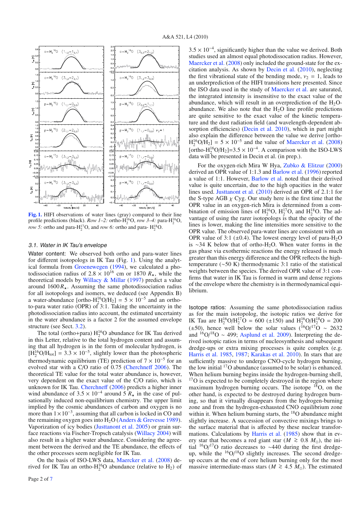

**[Fig. 1.](http://dexter.edpsciences.org/applet.php?DOI=10.1051/0004-6361/201015069&pdf_id=1)** HIFI observations of water lines (gray) compared to their line profile predictions (black). *Row 1–2:* ortho- $H_2^{16}O$ , *row 3–4:* para- $H_2^{16}O$ , *row 5:* ortho and para- $H_2^{17}O$ , and *row 6:* ortho and para- $H_2^{18}O$ .

#### 3.1. Water in IK Tau's envelope

Water content: We observed both ortho and para-water lines for different isotopologs in IK Tau (Fig. 1). Using the analytical formula from Groenewegen (1994), we calculated a photodissociation radius of  $2.8 \times 10^{16}$  cm or 1870  $R_{\star}$ , while the theoretical models by Willacy & Millar (1997) predict a value around  $1600 R_{\star}$ . Assuming the same photodissociation radius for all isotopologs and isomers, we deduced (see Appendix B) a water-abundance [ortho-H<sub>2</sub><sup>16</sup>O/H<sub>2</sub>] = 5 × 10<sup>-5</sup> and an orthoto-para water ratio (OPR) of  $3:1$ . Taking the uncertainty in the photodissociation radius into account, the estimated uncertainty in the water abundance is a factor 2 for the assumed envelope structure (see Sect. 3.2).

The total (ortho+para)  $H_2^{16}O$  abundance for IK Tau derived in this Letter, relative to the total hydrogen content and assuming that all hydrogen is in the form of molecular hydrogen, is  $[H_2^{16}O/H_{tot}] = 3.3 \times 10^{-5}$ , slightly lower than the photospheric thermodynamic equilibrium (TE) prediction of  $7 \times 10^{-5}$  for an evolved star with a C/O ratio of 0.75 (Cherchneff 2006). The theoretical TE value for the total water abundance is, however, very dependent on the exact value of the C/O ratio, which is unknown for IK Tau. Cherchneff (2006) predicts a higher inner wind abundance of  $3.5 \times 10^{-4}$  around 5  $R_{\star}$  in the case of pulsationally induced non-equilibrium chemistry. The upper limit implied by the cosmic abundances of carbon and oxygen is no more than  $1 \times 10^{-3}$ , assuming that all carbon is locked in CO and the remaining oxygen goes into  $H_2O$  (Anders & Grevesse 1989). Vaporization of icy bodies (Justtanont et al. 2005) or grain surface reactions via Fischer-Tropsch catalysis (Willacy 2004) will also result in a higher water abundance. Considering the agreement between the derived and the TE abundance, the effects of the other processes seem negligible for IK Tau.

On the basis of ISO-LWS data, Maercker et al. (2008) derived for IK Tau an ortho- $H_2^{16}O$  abundance (relative to  $H_2$ ) of  $3.5 \times 10^{-4}$ , significantly higher than the value we derived. Both studies used an almost equal photodissocation radius. However, Maercker et al. (2008) only included the ground-state for the excitation analysis. As shown by Decin et al. (2010), neglecting the first vibrational state of the bending mode,  $v_2 = 1$ , leads to an underprediction of the HIFI transitions here presented. Since the ISO data used in the study of Maercker et al. are saturated, the integrated intensity is insensitive to the exact value of the abundance, which will result in an overprediction of the  $H_2O$ abundance. We also note that the  $H<sub>2</sub>O$  line profile predictions are quite sensitive to the exact value of the kinetic temperature and the dust radiation field (and wavelength-dependent absorption efficiencies) (Decin et al. 2010), which in part might also explain the difference between the value we derive [ortho- $H_2^{16}O/H_2$ ] = 5 × 10<sup>-5</sup> and the value of Maercker et al. (2008) [ortho- $H_2^{16}O/H_2$ ]=3.5 × 10<sup>-4</sup>. A comparison with the ISO-LWS data will be presented in Decin et al. (in prep.).

For the oxygen-rich Mira W Hya, Zubko & Elitzur (2000) derived an OPR value of 1:1.3 and Barlow et al. (1996) reported a value of 1:1. However, Barlow et al. noted that their derived value is quite uncertain, due to the high opacities in the water lines used. Justtanont et al. (2010) derived an OPR of 2.1:1 for the S-type AGB  $\chi$  Cyg. Our study here is the first time that the OPR value in an oxygen-rich Mira is determined from a combination of emission lines of  $H_2^{16}O$ ,  $H_2^{17}O$ , and  $H_2^{18}O$ . The advantage of using the rarer isotopologs is that the opacity of the lines is lower, making the line intensities more sensitive to the OPR value. The observed para-water lines are consistent with an OPR value of 3:1 ( $\pm$ 0.4). The lowest energy level of para-H<sub>2</sub>O is ∼34 K below that of ortho-H2O. When water forms in the gas phase via exothermic reactions the energy released is much greater than this energy difference and the OPR reflects the hightemperature (∼50 K) thermodynamic 3:1 ratio of the statistical weights between the species. The derived OPR value of 3:1 confirms that water in IK Tau is formed in warm and dense regions of the envelope where the chemistry is in thermodynamical equilibrium.

Isotope ratios: Assuming the same photodissociation radius as for the main isotopolog, the isotopic ratios we derive for IK Tau are  $H_2^{16}O/H_2^{17}O = 600 \ (\pm 150)$  and  $H_2^{16}O/H_2^{18}O = 200$ (±50), hence well below the solar values ( $^{16}O^{17}O \sim 2632$ and <sup>16</sup>O/<sup>18</sup>O ~ 499; Asplund et al. 2009). Interpreting the derived isotopic ratios in terms of nucleosynthesis and subsequent dredge-ups or extra mixing processes is quite complex (e.g. Harris et al. 1985, 1987; Karakas et al. 2010). In stars that are sufficiently massive to undergo CNO-cycle hydrogen burning, the low initial 17O abundance (assumed to be solar) is enhanced. When helium burning begins inside the hydrogen-burning shell, <sup>17</sup>O is expected to be completely destroyed in the region where maximum hydrogen burning occurs. The isotope  $^{18}$ O, on the other hand, is expected to be destroyed during hydrogen burning, so that it virtually disappears from the hydrogen-burning zone and from the hydrogen-exhausted CNO equilibrium zone within it. When helium burning starts, the <sup>18</sup>O abundance might slightly increase. A succession of convective mixings brings to the surface material that is affected by these nuclear transformations. Calculations by Harris et al. (1985) show that in every star that becomes a red giant star ( $M \ge 0.8$   $M_{\odot}$ ), the initial  $\frac{16}{12}$ O/<sup>17</sup>O ratio decreases to ~440 during the first dredgeup, while the <sup>16</sup>O/<sup>18</sup>O slightly increases. The second dredgeup occurs at the end of core helium burning only for the most massive intermediate-mass stars ( $M \ge 4.5$   $M_{\odot}$ ). The estimated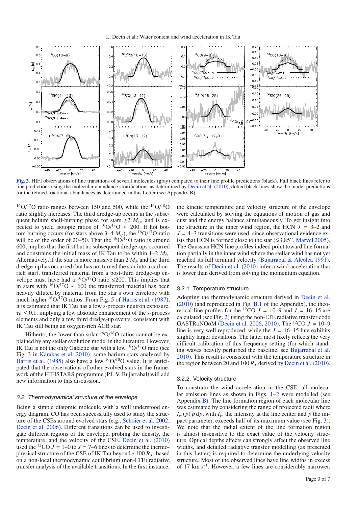

**[Fig. 2.](http://dexter.edpsciences.org/applet.php?DOI=10.1051/0004-6361/201015069&pdf_id=2)** HIFI observations of line transitions of several molecules (gray) compared to their line profile predictions (black). Full black lines refer to line predictions using the molecular abundance stratifications as determined by Decin et al. (2010), dotted black lines show the model predictions for the refined fractional abundances as determined in this Letter (see Appendix B).

 $^{16}O/^{17}O$  ratio ranges between 150 and 500, while the  $^{16}O/^{18}O$ ratio slightly increases. The third dredge-up occurs in the subsequent helium shell-burning phase for stars  $\geq 2$  *M*<sub> $\odot$ </sub>, and is expected to yield isotopic ratios of  ${}^{16}O/{}^{17}O \leq 200$ . If hot bottom burning occurs (for stars above  $3-4$  *M*<sub>o</sub>), the <sup>16</sup>O/<sup>17</sup>O ratio will be of the order of 20–50. That the  $\frac{160}{17}$ O ratio is around 600, implies that the first but no subsequent dredge-ups occurred and constrains the initial mass of IK Tau to be within  $1-2$   $M_{\odot}$ . Alternatively, if the star is more massive than  $2 M_{\odot}$  and the third dredge-up has occurred (but has not turned the star into a carbonrich star), transferred material from a post-third dredge-up envelope must have had a <sup>16</sup>O/<sup>17</sup>O ratio ≤200. This implies that in stars with  $\frac{16}{9}$ <sup>17</sup>O ~ 600 the transferred material has been heavily diluted by material from the star's own envelope with much higher <sup>16</sup>O/<sup>17</sup>O ratios. From Fig. 5 of Harris et al. (1987), it is estimated that IK Tau has a low s-process neutron exposure,  $\tau_0 \leq 0.1$ , implying a low absolute enhancement of the s-process elements and only a few third dredge-up events, consistent with IK Tau still being an oxygen-rich AGB star.

Hitherto, the lower than solar  $\rm {^{16}O/^{18}O}$  ratios cannot be explained by any stellar evolution model in the literature. However, IK Tau is not the only Galactic star with a low  $\rm ^{16}O/^{18}O$  ratio (see Fig. 3 in Karakas et al. 2010); some barium stars analyzed by Harris et al. (1985) also have a low  $\frac{160}{^{18}$ O value. It is anticipated that the observations of other evolved stars in the framework of the HIFISTARS programme (P.I. V. Bujarrabal) will add new information to this discussion.

#### 3.2. Thermodynamical structure of the envelope

Being a simple diatomic molecule with a well understood energy diagram, CO has been successfully used to study the structure of the CSEs around evolved stars (e.g., Schöier et al. 2002; Decin et al. 2006). Different transitions can be used to investigate different regions of the envelope, probing the density, the temperature, and the velocity of the CSE. Decin et al. (2010) used the <sup>12</sup>CO  $J = 1-0$  to  $J = 7-6$  lines to determine the thermophysical structure of the CSE of IK Tau beyond ∼100 *R*-, based on a non-local thermodynamic equilibrium (non-LTE) radiative transfer analysis of the available transitions. In the first instance,

the kinetic temperature and velocity structure of the envelope were calculated by solving the equations of motion of gas and dust and the energy balance simultaneously. To get insight into the structure in the inner wind region, the HCN  $J = 3-2$  and  $J = 4-3$  transitions were used, since observational evidence exists that HCN is formed close to the star  $(\leq 3.85'',$  Marvel 2005). The Gaussian HCN line profiles indeed point toward line formation partially in the inner wind where the stellar wind has not yet reached its full terminal velocity (Bujarrabal & Alcolea 1991). The results of Decin et al. (2010) infer a wind acceleration that is lower than derived from solving the momentum equation.

#### 3.2.1. Temperature structure

Adopting the thermodynamic structure derived in Decin et al.  $(2010)$  (and reproduced in Fig. B.1 of the Appendix), the theoretical line profiles for the <sup>12</sup>CO  $J = 10-9$  and  $J = 16-15$  are calculated (see Fig. 2) using the non-LTE radiative transfer code GASTRoNOoM (Decin et al. 2006, 2010). The <sup>12</sup>CO  $J = 10-9$ line is very well reproduced, while the  $J = 16-15$  line exhibits slightly larger deviations. The latter most likely reflects the very difficult calibration of this frequency setting (for which standing waves heavily perturbed the baseline, see Bujarrabal et al. 2010). This result is consistent with the temperature structure in the region between 20 and 100  $R_{\star}$  derived by Decin et al. (2010).

#### 3.2.2. Velocity structure

To constrain the wind acceleration in the CSE, all molecular emission lines as shown in Figs. 1–2 were modelled (see Appendix B). The line formation region of each molecular line was estimated by considering the range of projected radii where  $I_{\nu_0}(p)$  *p* d*p*, with  $I_{\nu_0}$  the intensity at the line center and *p* the impact parameter, exceeds half of its maximum value (see Fig. 3). We note that the radial extent of the line formation region is almost insensitive to the exact value of the velocity structure. Optical depths effects can strongly affect the observed line widths, and detailed radiative transfer modelling (as presented in this Letter) is required to determine the underlying velocity structure. Most of the observed lines have line widths in excess of 17 km s−1. However, a few lines are considerably narrower,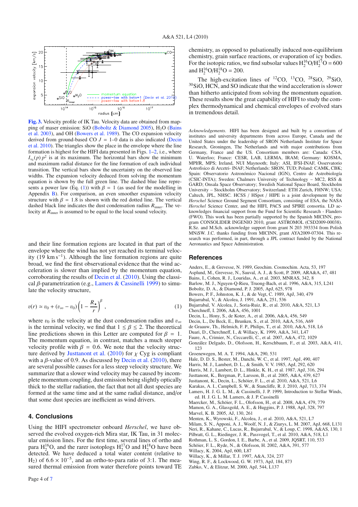

**[Fig. 3.](http://dexter.edpsciences.org/applet.php?DOI=10.1051/0004-6361/201015069&pdf_id=3)** Velocity profile of IK Tau. Velocity data are obtained from mapping of maser emission: SiO (Boboltz & Diamond 2005), H<sub>2</sub>O (Bains et al. 2003), and OH (Bowers et al. 1989). The CO expansion velocity derived from ground-based CO  $J = 1-0$  data is also indicated (Decin et al. 2010). The triangles show the place in the envelope where the line formation is highest for the HIFI data presented in Figs. 1–2, i.e., where  $I_{\nu_0}(p)$  *p*<sup>2</sup> is at its maximum. The horizontal bars show the minimum and maximum radial distance for the line formation of each individual transition. The vertical bars show the uncertainty on the observed line widths. The expansion velocity deduced from solving the momentum equation is shown by the full green line. The dashed blue line represents a power law (Eq. (1)) with  $\beta = 1$  (as used for the modelling in Appendix B). For comparison, an even smoother expansion velocity structure with  $\beta = 1.8$  is shown with the red dotted line. The vertical dashed black line indicates the dust condensation radius *R*inner. The velocity at  $R_{\text{inner}}$  is assumed to be equal to the local sound velocity.

and their line formation regions are located in that part of the envelope where the wind has not yet reached its terminal velocity (19 km s<sup>-1</sup>). Although the line formation regions are quite broad, we find the first observational evidence that the wind acceleration is slower than implied by the momentum equation, corroborating the results of Decin et al. (2010). Using the classical  $\beta$ -parametrization (e.g., Lamers & Cassinelli 1999) to simulate the velocity structure,

$$
v(r) \simeq v_0 + (v_{\infty} - v_0) \left( 1 - \frac{R_{\star}}{r} \right)^{\beta} , \qquad (1)
$$

where  $v_0$  is the velocity at the dust condensation radius and  $v_{\infty}$ is the terminal velocity, we find that  $1 \leq \beta \leq 2$ . The theoretical line predictions shown in this Letter are computed for  $\beta = 1$ . The momentum equation, in contrast, matches a much steeper velocity profile with  $\beta = 0.6$ . We note that the velocity structure derived by Justtanont et al. (2010) for  $\chi$  Cyg is compliant with a  $\beta$ -value of 0.9. As discussed by Decin et al. (2010), there are several possible causes for a less steep velocity structure. We summarize that a slower wind velocity may be caused by incomplete momentum coupling, dust emission being slightly optically thick to the stellar radiation, the fact that not all dust species are formed at the same time and at the same radial distance, and/or that some dust species are inefficient as wind drivers.

#### **4. Conclusions**

Using the HIFI spectrometer onboard *Herschel*, we have observed the evolved oxygen-rich Mira star, IK Tau, in 31 molecular emission lines. For the first time, several lines of ortho and para  $H_2^{16}O$ , and the rarer isotoplogs  $H_2^{17}O$  and  $H_2^{18}O$  have been detected. We have deduced a total water content (relative to H<sub>2</sub>) of 6.6 × 10<sup>-5</sup>, and an ortho-to-para ratio of 3:1. The measured thermal emission from water therefore points toward TE chemistry, as opposed to pulsationally induced non-equilibrium chemistry, grain surface reactions, or evaporation of icy bodies. For the isotopic ratios, we find subsolar values  $H_2^{16}O/H_2^{17}O = 600$ and  $H_2^{16}O/H_2^{18}O = 200$ .

The high-excitation lines of  ${}^{12}CO$ ,  ${}^{13}CO$ ,  ${}^{28}SiO$ ,  ${}^{29}SiO$ , <sup>30</sup>SiO, HCN, and SO indicate that the wind acceleration is slower than hitherto anticipated from solving the momentum equation. These results show the great capability of HIFI to study the complex thermodynamical and chemical envelopes of evolved stars in tremendous detail.

*Acknowledgements.* HIFI has been designed and built by a consortium of institutes and university departments from across Europe, Canada and the United States under the leadership of SRON Netherlands Institute for Space Research, Groningen, The Netherlands and with major contributions from Germany, France and the US. Consortium members are: Canada: CSA, U. Waterloo; France: CESR, LAB, LERMA, IRAM; Germany: KOSMA, MPIfR, MPS; Ireland, NUI Maynooth; Italy: ASI, IFSI-INAF, Osservatorio Astrofisico di Arcetri- INAF; Netherlands: SRON, TUD; Poland: CAMK, CBK; Spain: Observatorio Astronómico Nacional (IGN), Centro de Astrobiología (CSIC-INTA); Sweden: Chalmers University of Technology – MC2, RSS & GARD; Onsala Space Observatory; Swedish National Space Board, Stockholm University – Stockholm Observatory; Switzerland: ETH Zurich, FHNW; USA: Caltech, JPL, NHSC. HCSS / HSpot / HIPE is a joint development by the *Herschel* Science Ground Segment Consortium, consisting of ESA, the NASA *Herschel* Science Center, and the HIFI, PACS and SPIRE consortia. LD acknowledges financial support from the Fund for Scientific Research - Flanders (FWO). This work has been partially supported by the Spanish MICINN, program CONSOLIDER INGENIO 2010, grant ASTROMOL (CSD2009-00038). R.Sz. and M.Sch. acknowledge support from grant N 203 393334 from Polish MNiSW. J.C. thanks funding from MICINN, grant AYA2009-07304. This research was performed, in part, through a JPL contract funded by the National Aeronautics and Space Administration.

#### **References**

- Anders, E., & Grevesse, N. 1989, Geochim. Cosmochim. Acta, 53, 197 Asplund, M., Grevesse, N., Sauval, A. J., & Scott, P. 2009, ARA&A, 47, 481 Bains, I., Cohen, R. J., Louridas, A., et al. 2003, MNRAS, 342, 8 Barlow, M. J., Nguyen-Q-Rieu, Truong-Bach, et al. 1996, A&A, 315, L241 Boboltz, D. A., & Diamond, P. J. 2005, ApJ, 625, 978 Bowers, P. F., Johnston, K. J., & de Vegt, C. 1989, ApJ, 340, 479 Bujarrabal, V., & Alcolea, J. 1991, A&A, 251, 536 Bujarrabal, V. Alcolea, J., Soria-Ruiz, R., et al. 2010, A&A, 521, L3 Cherchneff, I. 2006, A&A, 456, 1001 Decin, L., Hony, S., de Koter, A., et al. 2006, A&A, 456, 549 Decin, L., De Beck, E., Brunken, S., et al. 2010, A&A, 516, A69 de Graauw, Th., Helmich, F. P., Philips, T., et al. 2010, A&A, 518, L6 Duari, D., Cherchneff, I., & Willacy, K. 1999, A&A, 341, L47 Faure, A., Crimier, N., Ceccarelli, C., et al. 2007, A&A, 472, 1029 González Delgado, D., Olofsson, H., Kerschbaum, F., et al. 2003, A&A, 411, 123 Groenewegen, M. A. T. 1994, A&A, 290, 531 Hale, D. D. S., Bester, M., Danchi, W. C., et al. 1997, ApJ, 490, 407 Harris, M. J., Lambert, D. L., & Smith, V. V. 1985, ApJ, 292, 620 Harris, M. J., Lambert, D. L., Hinkle, K. H., et al. 1987, ApJ, 316, 294 Justtanont, K., Bergman, P., Larsson, B., et al. 2005, A&A, 439, 627 Justtanont, K., Decin, L., Schöier, F. L., et al. 2010, A&A, 521, L6 Karakas, A. I., Campbell, S. W., & Stancliffe, R. J. 2010, ApJ, 713, 374 Lamers, H. J. G. L. M., & Cassinelli, J. P. 1999, Introduction to Stellar Winds, ed. H. J. G. L. M. Lamers, & J. P. Cassinelli Maercker, M., Schöier, F. L., Olofsson, H., et al. 2008, A&A, 479, 779 Mamon, G. A., Glassgold, A. E., & Huggins, P. J. 1988, ApJ, 328, 797 Marvel, K. B. 2005, AJ, 130, 261 Menten, K., Wyrowski, F., Alcolea, J., et al. 2010, A&A, 521, L7
- Milam, S. N., Apponi, A. J., Woolf, N. J., & Ziurys, L. M. 2007, ApJ, 668, L131
- Neri, R., Kahane, C., Lucas, R., Bujarrabal, V., & Loup, C. 1998, A&AS, 130, 1
- Pilbratt, G. L., Riedinger, J. R., Passvogel, T., et al. 2010, A&A, 518, L1
- Rothman, L. S., Gordon, I. E., Barbe, A., et al. 2009, JQSRT, 110, 533
- Schöier, F. L., Ryde, N., & Olofsson, H. 2002, A&A, 391, 577 Willacy, K. 2004, ApJ, 600, L87
- 
- Willacy, K., & Millar, T. J. 1997, A&A, 324, 237 Wing, R. F., & Lockwood, G. W. 1973, ApJ, 184, 873
- 
- Zubko, V., & Elitzur, M. 2000, ApJ, 544, L137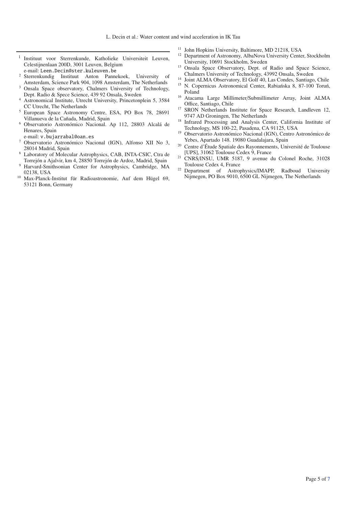- <sup>1</sup> Instituut voor Sterrenkunde, Katholieke Universiteit Leuven, Celestijnenlaan 200D, 3001 Leuven, Belgium
- e-mail: Leen.Decin@ster.kuleuven.be
- <sup>2</sup> Sterrenkundig Instituut Anton Pannekoek, University of Amsterdam, Science Park 904, 1098 Amsterdam, The Netherlands
- <sup>3</sup> Onsala Space observatory, Chalmers University of Technology, Dept. Radio & Spece Science, 439 92 Onsala, Sweden
- <sup>4</sup> Astronomical Institute, Utrecht University, Princetonplein 5, 3584 CC Utrecht, The Netherlands
- <sup>5</sup> European Space Astronomy Centre, ESA, PO Box 78, 28691 Villanueva de la Cañada, Madrid, Spain
- <sup>6</sup> Observatorio Astronómico Nacional. Ap 112, 28803 Alcalá de Henares, Spain
- e-mail: v.bujarrabal@oan.es
- <sup>7</sup> Observatorio Astronómico Nacional (IGN), Alfonso XII No 3, 28014 Madrid, Spain
- <sup>8</sup> Laboratory of Molecular Astrophysics, CAB, INTA-CSIC, Ctra de Torrejón a Ajalvir, km 4, 28850 Torrejón de Ardoz, Madrid, Spain
- <sup>9</sup> Harvard-Smithsonian Center for Astrophysics, Cambridge, MA 02138, USA
- <sup>10</sup> Max-Planck-Institut für Radioastronomie, Auf dem Hügel 69, 53121 Bonn, Germany
- <sup>11</sup> John Hopkins University, Baltimore, MD 21218, USA
- <sup>12</sup> Department of Astronomy, AlbaNova University Center, Stockholm University, 10691 Stockholm, Sweden
- <sup>13</sup> Onsala Space Observatory, Dept. of Radio and Space Science, Chalmers University of Technology, 43992 Onsala, Sweden
- <sup>14</sup> Joint ALMA Observatory, El Golf 40, Las Condes, Santiago, Chile<br><sup>15</sup> M. Graeguine Artware is Contex, Belsie 6, 8, 3, 100 Temá
- N. Copernicus Astronomical Center, Rabiańska 8, 87-100 Toruń, Poland
- <sup>16</sup> Atacama Large Millimeter/Submillimeter Array, Joint ALMA<br>Office. Santiago. Chile
- <sup>17</sup> SRON Netherlands Institute for Space Research, Landleven 12, 9747 AD Groningen, The Netherlands
- <sup>18</sup> Infrared Processing and Analysis Center, California Institute of Technology, MS 100-22, Pasadena, CA 91125, USA
- 19 Observatorio Astronómico Nacional (IGN), Centro Astronómico de Yebes, Apartado 148. 19080 Guadalajara, Spain
- <sup>20</sup> Centre d'Étude Spatiale des Rayonnements, Université de Toulouse [UPS], 31062 Toulouse Cedex 9, France
- <sup>21</sup> CNRS/INSU, UMR 5187, 9 avenue du Colonel Roche, 31028 Toulouse Cedex 4, France
- <sup>22</sup> Department of Astrophysics/IMAPP, Radboud University Nijmegen, PO Box 9010, 6500 GL Nijmegen, The Netherlands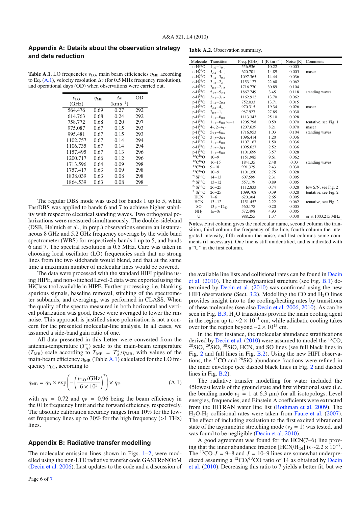#### **Appendix A: Details about the observation strategy and data reduction**

**Table A.1.** LO frequencies  $v_{\text{LO}}$ , main beam efficiencies  $\eta_{\text{MB}}$  according to Eq.  $(A.1)$ , velocity resolution  $\Delta v$  (for 0.5 MHz frequency resolution), and operational days (OD) when observations were carried out.

| $v_{\rm LO}$ | $\eta_{\rm MB}$ | $\Delta v$    | OD  |
|--------------|-----------------|---------------|-----|
| (GHz)        |                 | $(km s^{-1})$ |     |
| 564.476      | 0.69            | 0.27          | 292 |
| 614.763      | 0.68            | 0.24          | 292 |
| 758.772      | 0.68            | 0.20          | 297 |
| 975.087      | 0.67            | 0.15          | 293 |
| 995.481      | 0.67            | 0.15          | 293 |
| 1102.757     | 0.67            | 0.14          | 294 |
| 1106.735     | 0.67            | 0.14          | 294 |
| 1157.495     | 0.67            | 0.13          | 296 |
| 1200.717     | 0.66            | 0.12          | 296 |
| 1713.596     | 0.64            | 0.09          | 298 |
| 1757.417     | 0.63            | 0.09          | 298 |
| 1838.039     | 0.63            | 0.08          | 298 |
| 1864.539     | 0.63            | 0.08          | 298 |

The regular DBS mode was used for bands 1 up to 5, while FastDBS was applied to bands 6 and 7 to achieve higher stability with respect to electrical standing waves. Two orthogonal polarizations were measured simultaneously. The double-sideband (DSB, Helmich et al., in prep.) observations ensure an instantaneous 8 GHz and 5.2 GHz frequency coverage by the wide band spectrometer (WBS) for respectively bands 1 up to 5, and bands 6 and 7. The spectral resolution is 0.5 MHz. Care was taken in choosing local oscillator (LO) frequencies such that no strong lines from the two sidebands would blend, and that at the same time a maximum number of molecular lines would be covered.

The data were processed with the standard HIFI pipeline using HIPE, and non-stitched Level-2 data were exported using the HiClass tool available in HIPE. Further processing, i.e. blanking spurious signals, baseline removal, stitching of the spectrometer subbands, and averaging, was performed in CLASS. When the quality of the spectra measured in both horizontal and vertical polarization was good, these were averaged to lower the rms noise. This approach is justified since polarisation is not a concern for the presented molecular-line analysis. In all cases, we assumed a side-band gain ratio of one.

All data presented in this Letter were converted from the antenna-temperature  $(T_A^*)$  scale to the main-beam temperature  $(T_{MB})$  scale according to  $T_{MB} = T_A^* / \eta_{MB}$ , with values of the main-beam efficiency  $\eta_{MB}$  (Table A.1) calculated for the LO frequency  $v_{\text{LO}}$ , according to

$$
\eta_{MB} = \eta_{B} \times \exp\left(-\left(\frac{\nu_{LO}/\text{GHz}}{6 \times 10^{3}}\right)^{2}\right) \times \eta_{F},\tag{A.1}
$$

with  $\eta_B = 0.72$  and  $\eta_F = 0.96$  being the beam efficiency in the 0 Hz frequency limit and the forward efficiency, respectively. The absolute calibration accuracy ranges from 10% for the lowest frequency lines up to 30% for the high frequency (>1 THz) lines.

#### **Appendix B: Radiative transfer modelling**

The molecular emission lines shown in Figs. 1–2, were modelled using the non-LTE radiative transfer code GASTRoNOoM (Decin et al. 2006). Last updates to the code and a discussion of

**Table A.2.** Observation summary.

| Molecule                            | Transition                      | Freq. [GHz] | I [K km s <sup>-1</sup> ] | Noise [K] | Comments              |
|-------------------------------------|---------------------------------|-------------|---------------------------|-----------|-----------------------|
| $0 - H_2^{16}O$                     | $1_{1.0} - 1_{0.1}$             | 556.936     | 10.22                     | 0.005     |                       |
| $O$ -H <sub>2</sub> <sup>16</sup> O | $532 - 441$                     | 620.701     | 14.89                     | 0.005     | maser                 |
| $O-H216O$                           | $3_{1,2} - 3_{0,3}$             | 1097.365    | 14.44                     | 0.036     |                       |
| $O-H_2^{\uparrow}O$                 | $3_{1,2}-2_{2,1}$               | 1153.127    | 22.60                     | 0.062     |                       |
| $O-H_2^{16}O$                       | $30.3 - 21.2$                   | 1716.770    | 30.89                     | 0.104     |                       |
| $O-H216O$                           | $5_{3,2} - 5_{2,3}$             | 1867.749    | 3.45                      | 0.118     | standing waves        |
| $O-H216O$                           | $321 - 312$                     | 1162.912    | 13.70                     | 0.062     |                       |
| $p-H_2^{\overline{1}6}O$            | $2_{1,1} - 2_{0,2}$             | 752.033     | 13.71                     | 0.015     |                       |
| $p-H_2^{16}O$                       | $5_{2,4} - 4_{3,1}$             | 970.315     | 19.34                     | 0.026     | maser                 |
| $p-H_2^{16}O$                       | $2_{0.2} - 1_{1.1}$             | 987.927     | 27.85                     | 0.030     |                       |
| $P-H_2^{\uparrow}O$                 | $1_{1,1} - 0_{0,0}$             | 1113.343    | 25.10                     | 0.028     |                       |
| $p-H_2^{16}O$                       | $1_{1,1} - 0_{0,0}$ $\nu_2 = 1$ | 1205.798    | 0.59                      | 0.070     | tentative, see Fig. 1 |
| $p-H_2^{\uparrow 6}O$               | $42, 2 - 413$                   | 1207.639    | 8.21                      | 0.070     | maser                 |
| $p-H_2^{16}O$                       | $53.3 - 60.6$                   | 1716.953    | 1.03                      | 0.104     | standing waves        |
| $O-H_2^{17}O$                       | $3_{1,2} - 3_{0,3}$             | 1096.414    | 1.20                      | 0.036     |                       |
| $p-H_2^{17}O$                       | $1_{1.1} - 0_{0.0}$             | 1107.167    | 1.50                      | 0.036     |                       |
| $O-H_2^{18}O$                       | $3_{1,2} - 3_{0,3}$             | 1095.627    | 2.52                      | 0.036     |                       |
| $p-H_2^{\tilde{1}8}O$               | $1_{1.1} - 0_{0.0}$             | 1101.699    | 3.57                      | 0.028     |                       |
| $^{12}C^{16}O$                      | $10 - 9$                        | 1151.985    | 9.61                      | 0.062     |                       |
| $^{12}\mathrm{C^{16}O}$             | $16 - 15$                       | 1841.35     | 2.48                      | 0.03      | standing waves        |
| ${}^{13}C{}^{16}O$                  | $9 - 18$                        | 991.329     | 2.43                      | 0.030     |                       |
| ${}^{13}C{}^{16}O$                  | $10 - 9$                        | 1101.350    | 2.75                      | 0.028     |                       |
| $^{28}Si^{16}O$                     | $14 - 13$                       | 607.599     | 2.31                      | 0.005     |                       |
| $^{29}Si^{16}O$                     | $13 - 12$                       | 557.179     | 0.89                      | 0.005     |                       |
| $^{29}Si^{16}O$                     | $26 - 25$                       | 1112.833    | 0.74                      | 0.028     | low S/N, see Fig. 2   |
| $30Si^{16}O$                        | $26 - 25$                       | 1099.708    | 0.39                      | 0.028     | tentative, see Fig. 2 |
| <b>HCN</b>                          | $7 - 6$                         | 620.304     | 2.65                      | 0.005     |                       |
| <b>HCN</b>                          | $13 - 12$                       | 1151.452    | 2.22                      | 0.062     | tentative, see Fig. 2 |
| SO.                                 | $13_{14}-12_{13}$               | 560.178     | 0.20                      | 0.005     |                       |
| NH <sub>3</sub>                     | $1_0 - 0_1$                     | 572.498     | 4.93                      | 0.005     |                       |
| U                                   |                                 | 988.255     | 1.37                      | 0.030     | or at 1003.215 MHz    |

**Notes.** First column gives the molecular name, second column the transition, third column the frequency of the line, fourth column the integrated intensity, fifth column the noise, and last columns some comments (if necessary). One line is still unidentified, and is indicated with a "U" in the first column.

the available line lists and collisional rates can be found in Decin et al. (2010). The thermodynamical structure (see Fig. B.1) determined by Decin et al. (2010) was confirmed using the new HIFI observations (Sect.  $3.2$ ). Modelling the CO and H<sub>2</sub>O lines provides insight into to the cooling/heating rates by transitions of these molecules (see also Decin et al. 2006, 2010). As can be seen in Fig.  $B.3$ ,  $H<sub>2</sub>O$  transitions provide the main cooling agent in the region up to  $\sim$ 2 × 10<sup>15</sup> cm, while adiabatic cooling takes over for the region beyond  $\sim$ 2 × 10<sup>15</sup> cm.

In the first instance, the molecular abundance stratifications derived by Decin et al. (2010) were assumed to model the <sup>13</sup>CO,  $^{28}$ SiO,  $^{29}$ SiO,  $^{30}$ SiO, HCN, and SO lines (see full black lines in Fig. 2 and full lines in Fig. B.2). Using the new HIFI observations, the  $^{13}$ CO and  $^{28}$ SiO abundance fractions were refined in the inner envelope (see dashed black lines in Fig. 2 and dashed lines in Fig. B.2).

The radiative transfer modelling for water included the 45lowest levels of the ground state and first vibrational state (i.e. the bending mode  $v_2 = 1$  at 6.3  $\mu$ m) for all isotopologs. Level energies, frequencies, and Einstein A coefficients were extracted from the HITRAN water line list (Rothman et al. 2009). The  $H<sub>2</sub>O-H<sub>2</sub>$  collisional rates were taken from Faure et al. (2007). The effect of including excitation to the first excited vibrational state of the asymmetric stretching mode ( $v_3 = 1$ ) was tested, and was found to be negligible (Decin et al. 2010).

A good agreement was found for the HCN(7–6) line proving that the inner abundance fraction [HCN/H<sub>tot</sub>] is ~2.2 × 10<sup>-7</sup>. The <sup>13</sup>CO  $J = 9-8$  and  $J = 10-9$  lines are somewhat underpredicted assuming a  ${}^{12}CO/{}^{13}CO$  ratio of 14 as obtained by Decin et al. (2010). Decreasing this ratio to 7 yields a better fit, but we